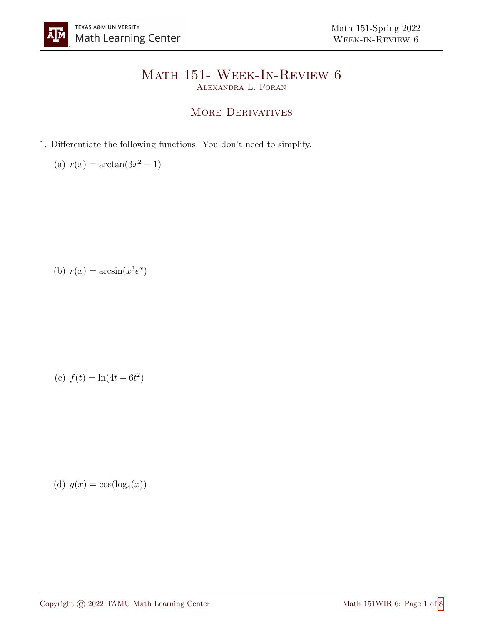## Math 151- Week-In-Review 6 Alexandra L. Foran

## MORE DERIVATIVES

- 1. Differentiate the following functions. You don't need to simplify.
	- (a)  $r(x) = \arctan(3x^2 1)$

(b)  $r(x) = \arcsin(x^3 e^x)$ 

(c) 
$$
f(t) = \ln(4t - 6t^2)
$$

(d)  $g(x) = \cos(\log_4(x))$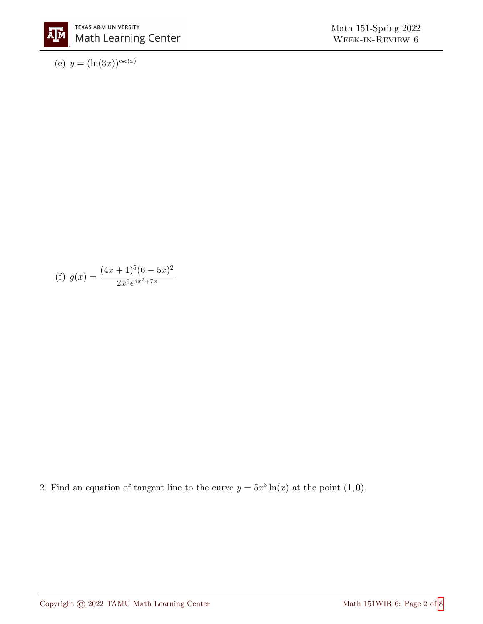

(e)  $y = (\ln(3x))^{\csc(x)}$ 

(f) 
$$
g(x) = \frac{(4x+1)^5(6-5x)^2}{2x^9e^{4x^2+7x}}
$$

2. Find an equation of tangent line to the curve  $y = 5x^3 \ln(x)$  at the point  $(1,0)$ .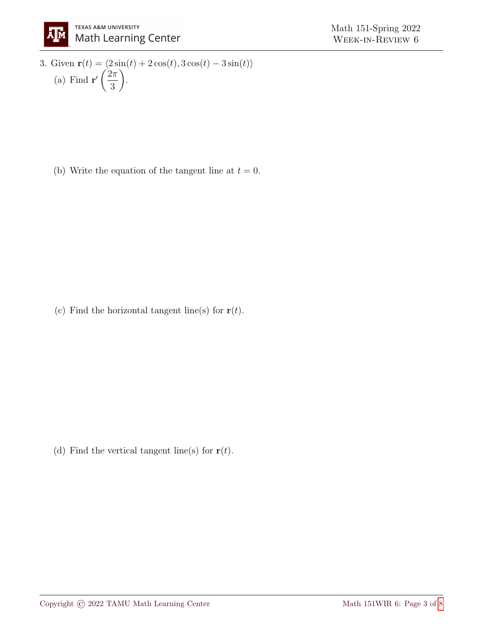3. Given 
$$
\mathbf{r}(t) = \langle 2\sin(t) + 2\cos(t), 3\cos(t) - 3\sin(t) \rangle
$$
  
(a) Find  $\mathbf{r}'\left(\frac{2\pi}{3}\right)$ .

(b) Write the equation of the tangent line at  $t = 0$ .

(c) Find the horizontal tangent line(s) for  $\mathbf{r}(t)$ .

(d) Find the vertical tangent line(s) for  $\mathbf{r}(t)$ .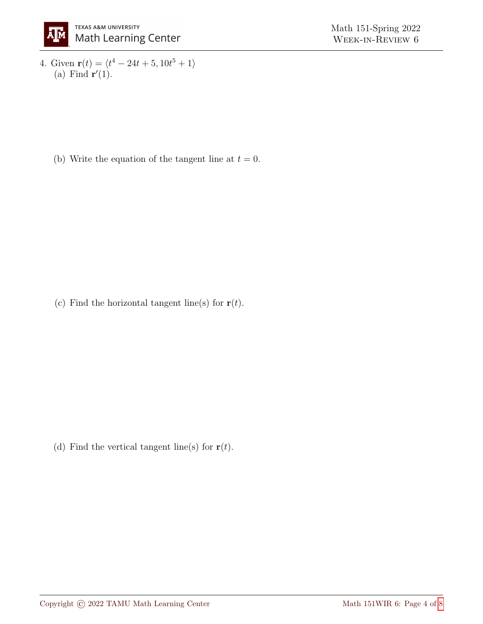4. Given  $\mathbf{r}(t) = \langle t^4 - 24t + 5, 10t^5 + 1 \rangle$ (a) Find  $\mathbf{r}'(1)$ .

(b) Write the equation of the tangent line at  $t = 0$ .

(c) Find the horizontal tangent line(s) for  $\mathbf{r}(t)$ .

(d) Find the vertical tangent line(s) for  $\mathbf{r}(t)$ .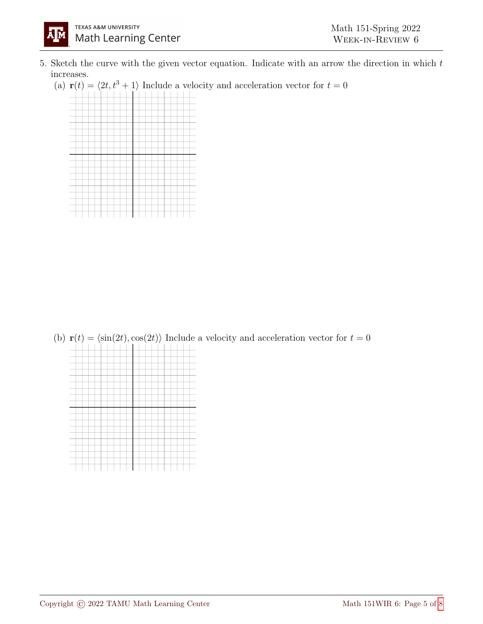- 5. Sketch the curve with the given vector equation. Indicate with an arrow the direction in which  $t$ increases.
	- (a)  $\mathbf{r}(t) = \langle 2t, t^3 + 1 \rangle$  Include a velocity and acceleration vector for  $t = 0$



(b)  $\mathbf{r}(t) = \langle \sin(2t), \cos(2t) \rangle$  Include a velocity and acceleration vector for  $t = 0$ 

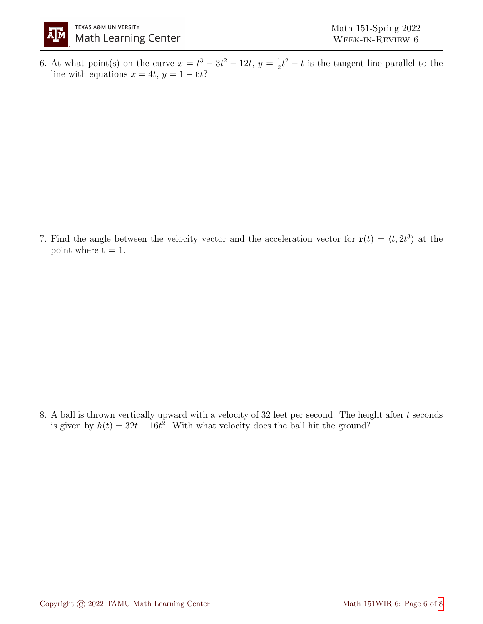

6. At what point(s) on the curve  $x = t^3 - 3t^2 - 12t$ ,  $y = \frac{1}{2}$  $\frac{1}{2}t^2 - t$  is the tangent line parallel to the line with equations  $x = 4t, y = 1 - 6t$ ?

7. Find the angle between the velocity vector and the acceleration vector for  $\mathbf{r}(t) = \langle t, 2t^3 \rangle$  at the point where  $t = 1$ .

8. A ball is thrown vertically upward with a velocity of  $32$  feet per second. The height after t seconds is given by  $h(t) = 32t - 16t^2$ . With what velocity does the ball hit the ground?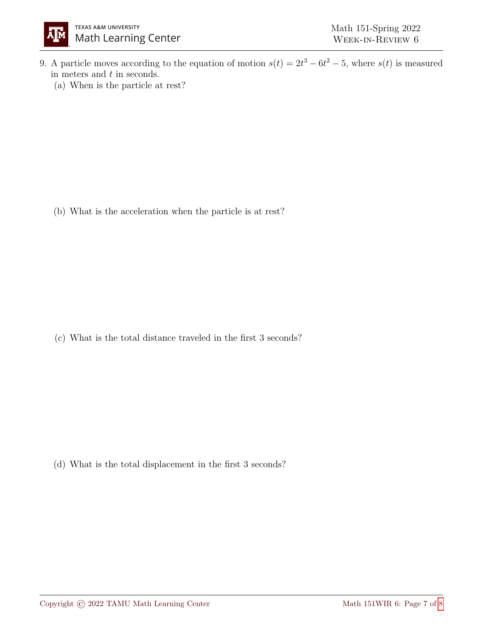

- 9. A particle moves according to the equation of motion  $s(t) = 2t^3 6t^2 5$ , where  $s(t)$  is measured in meters and  $t$  in seconds.
	- (a) When is the particle at rest?

(b) What is the acceleration when the particle is at rest?

(c) What is the total distance traveled in the first 3 seconds?

(d) What is the total displacement in the first 3 seconds?